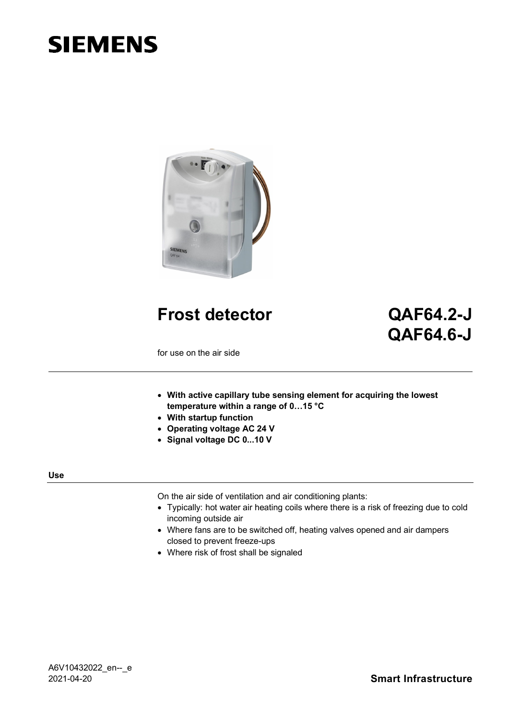# **SIEMENS**



**Frost detector QAF64.2-J**

# **QAF64.6-J**

for use on the air side

- **With active capillary tube sensing element for acquiring the lowest temperature within a range of 0…15 °C**
- **With startup function**
- **Operating voltage AC 24 V**
- **Signal voltage DC 0...10 V**

#### **Use**

On the air side of ventilation and air conditioning plants:

- Typically: hot water air heating coils where there is a risk of freezing due to cold incoming outside air
- Where fans are to be switched off, heating valves opened and air dampers closed to prevent freeze-ups
- Where risk of frost shall be signaled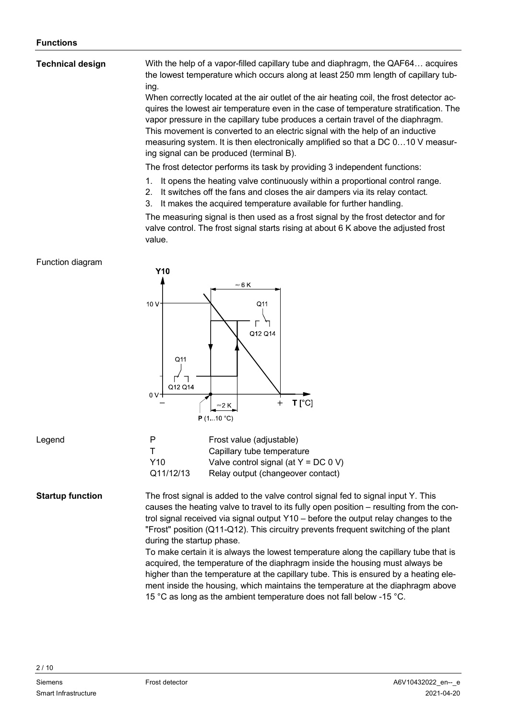#### With the help of a vapor-filled capillary tube and diaphragm, the QAF64… acquires the lowest temperature which occurs along at least 250 mm length of capillary tubing. When correctly located at the air outlet of the air heating coil, the frost detector acquires the lowest air temperature even in the case of temperature stratification. The vapor pressure in the capillary tube produces a certain travel of the diaphragm. This movement is converted to an electric signal with the help of an inductive measuring system. It is then electronically amplified so that a DC 0…10 V measuring signal can be produced (terminal B). **Technical design**

The frost detector performs its task by providing 3 independent functions:

- 1. It opens the heating valve continuously within a proportional control range.
- 2. It switches off the fans and closes the air dampers via its relay contact.
- 3. It makes the acquired temperature available for further handling.

The measuring signal is then used as a frost signal by the frost detector and for valve control. The frost signal starts rising at about 6 K above the adjusted frost value.

# Function diagram



#### Legend

| <b>Startup function</b> |
|-------------------------|
|                         |

P Frost value (adjustable) T Capillary tube temperature Y10 Valve control signal (at Y = DC 0 V) Q11/12/13 Relay output (changeover contact)

The frost signal is added to the valve control signal fed to signal input Y. This causes the heating valve to travel to its fully open position – resulting from the control signal received via signal output Y10 – before the output relay changes to the "Frost" position (Q11-Q12). This circuitry prevents frequent switching of the plant during the startup phase.

> To make certain it is always the lowest temperature along the capillary tube that is acquired, the temperature of the diaphragm inside the housing must always be higher than the temperature at the capillary tube. This is ensured by a heating element inside the housing, which maintains the temperature at the diaphragm above 15 °C as long as the ambient temperature does not fall below -15 °C.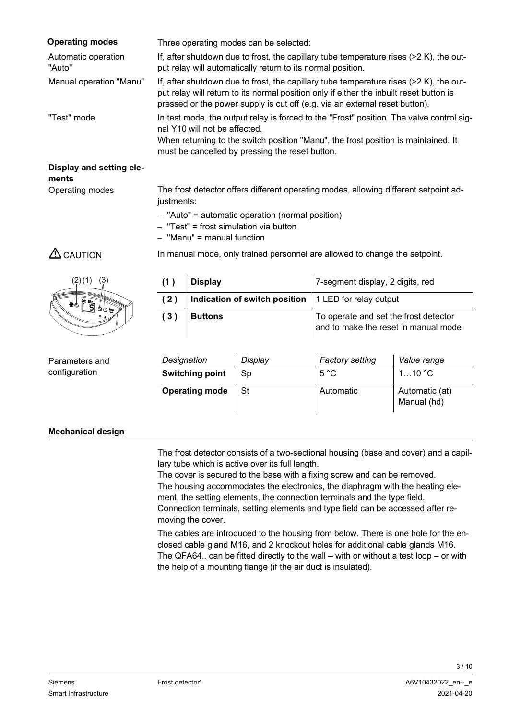| <b>Operating modes</b>        | Three operating modes can be selected:                                                                                                                                                                                                                             |
|-------------------------------|--------------------------------------------------------------------------------------------------------------------------------------------------------------------------------------------------------------------------------------------------------------------|
| Automatic operation<br>"Auto" | If, after shutdown due to frost, the capillary tube temperature rises $(2K)$ , the out-<br>put relay will automatically return to its normal position.                                                                                                             |
| Manual operation "Manu"       | If, after shutdown due to frost, the capillary tube temperature rises (>2 K), the out-<br>put relay will return to its normal position only if either the inbuilt reset button is<br>pressed or the power supply is cut off (e.g. via an external reset button).   |
| "Test" mode                   | In test mode, the output relay is forced to the "Frost" position. The valve control sig-<br>nal Y10 will not be affected.<br>When returning to the switch position "Manu", the frost position is maintained. It<br>must be cancelled by pressing the reset button. |

#### **Display and setting elements** Operating modes

The frost detector offers different operating modes, allowing different setpoint adjustments:

In manual mode, only trained personnel are allowed to change the setpoint.

- "Auto" = automatic operation (normal position)
- $-$  "Test" = frost simulation via button
- $-$  "Manu" = manual function

# $\triangle$  CAUTION



| (1) | <b>Display</b>                                               | 7-segment display, 2 digits, red                                              |
|-----|--------------------------------------------------------------|-------------------------------------------------------------------------------|
|     | (2)   Indication of switch position   1 LED for relay output |                                                                               |
| (3) | <b>Buttons</b>                                               | To operate and set the frost detector<br>and to make the reset in manual mode |

Parameters and configuration

| Designation            | Display | <b>Factory setting</b> | Value range                   |
|------------------------|---------|------------------------|-------------------------------|
| <b>Switching point</b> | Sp      | $5^{\circ}$ C          | $110$ $^{\circ}$ C            |
| <b>Operating mode</b>  | -St     | Automatic              | Automatic (at)<br>Manual (hd) |

# **Mechanical design**

The frost detector consists of a two-sectional housing (base and cover) and a capillary tube which is active over its full length.

The cover is secured to the base with a fixing screw and can be removed. The housing accommodates the electronics, the diaphragm with the heating element, the setting elements, the connection terminals and the type field. Connection terminals, setting elements and type field can be accessed after removing the cover.

The cables are introduced to the housing from below. There is one hole for the enclosed cable gland M16, and 2 knockout holes for additional cable glands M16. The QFA64.. can be fitted directly to the wall – with or without a test loop – or with the help of a mounting flange (if the air duct is insulated).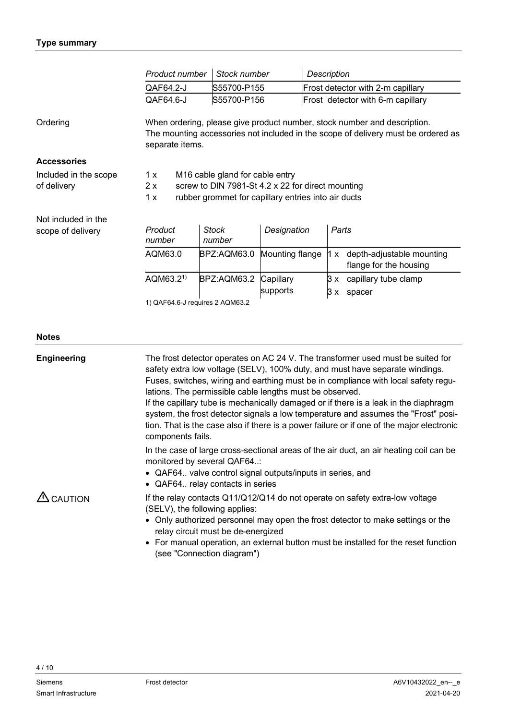|                                                                        | Product number                                                                                                                                                                   | Stock number           |                 | <b>Description</b> |                                                     |
|------------------------------------------------------------------------|----------------------------------------------------------------------------------------------------------------------------------------------------------------------------------|------------------------|-----------------|--------------------|-----------------------------------------------------|
|                                                                        | QAF64.2-J                                                                                                                                                                        | S55700-P155            |                 |                    | Frost detector with 2-m capillary                   |
|                                                                        | QAF64.6-J                                                                                                                                                                        | S55700-P156            |                 |                    | Frost detector with 6-m capillary                   |
| Ordering                                                               | When ordering, please give product number, stock number and description.<br>The mounting accessories not included in the scope of delivery must be ordered as<br>separate items. |                        |                 |                    |                                                     |
| <b>Accessories</b>                                                     |                                                                                                                                                                                  |                        |                 |                    |                                                     |
| Included in the scope                                                  | M16 cable gland for cable entry<br>1 x                                                                                                                                           |                        |                 |                    |                                                     |
| of delivery<br>2x<br>screw to DIN 7981-St 4.2 x 22 for direct mounting |                                                                                                                                                                                  |                        |                 |                    |                                                     |
|                                                                        | 1x<br>rubber grommet for capillary entries into air ducts                                                                                                                        |                        |                 |                    |                                                     |
| Not included in the                                                    |                                                                                                                                                                                  |                        |                 |                    |                                                     |
| scope of delivery                                                      | Product<br>number                                                                                                                                                                | <b>Stock</b><br>number | Designation     | Parts              |                                                     |
|                                                                        | AQM63.0                                                                                                                                                                          | BPZ:AQM63.0            | Mounting flange | 1 x                | depth-adjustable mounting<br>flange for the housing |
|                                                                        | AQM63.2 <sup>1</sup>                                                                                                                                                             | BPZ:AQM63.2            | Capillary       | 3 x                | capillary tube clamp                                |
|                                                                        |                                                                                                                                                                                  |                        | supports        | З<br>x             | spacer                                              |
|                                                                        | 1) QAF64.6-J requires 2 AQM63.2                                                                                                                                                  |                        |                 |                    |                                                     |

#### **Notes**

| <b>Engineering</b>  | The frost detector operates on AC 24 V. The transformer used must be suited for<br>safety extra low voltage (SELV), 100% duty, and must have separate windings.<br>Fuses, switches, wiring and earthing must be in compliance with local safety regu-<br>lations. The permissible cable lengths must be observed.<br>If the capillary tube is mechanically damaged or if there is a leak in the diaphragm<br>system, the frost detector signals a low temperature and assumes the "Frost" posi-<br>tion. That is the case also if there is a power failure or if one of the major electronic<br>components fails. |  |  |
|---------------------|-------------------------------------------------------------------------------------------------------------------------------------------------------------------------------------------------------------------------------------------------------------------------------------------------------------------------------------------------------------------------------------------------------------------------------------------------------------------------------------------------------------------------------------------------------------------------------------------------------------------|--|--|
|                     | In the case of large cross-sectional areas of the air duct, an air heating coil can be<br>monitored by several QAF64<br>• QAF64 valve control signal outputs/inputs in series, and<br>• QAF64 relay contacts in series                                                                                                                                                                                                                                                                                                                                                                                            |  |  |
| $\triangle$ CAUTION | If the relay contacts Q11/Q12/Q14 do not operate on safety extra-low voltage<br>(SELV), the following applies:<br>• Only authorized personnel may open the frost detector to make settings or the<br>relay circuit must be de-energized<br>• For manual operation, an external button must be installed for the reset function<br>(see "Connection diagram")                                                                                                                                                                                                                                                      |  |  |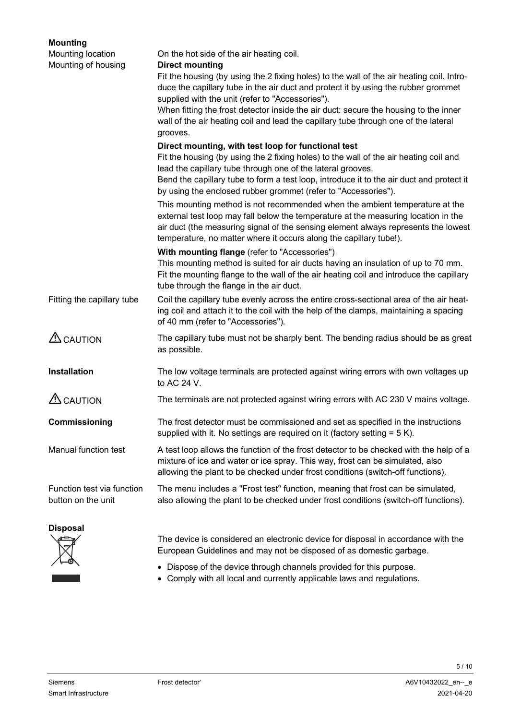| <b>Mounting</b>                                  |                                                                                                                                                                                                                                                                                                                               |
|--------------------------------------------------|-------------------------------------------------------------------------------------------------------------------------------------------------------------------------------------------------------------------------------------------------------------------------------------------------------------------------------|
| Mounting location                                | On the hot side of the air heating coil.                                                                                                                                                                                                                                                                                      |
| Mounting of housing                              | <b>Direct mounting</b><br>Fit the housing (by using the 2 fixing holes) to the wall of the air heating coil. Intro-<br>duce the capillary tube in the air duct and protect it by using the rubber grommet<br>supplied with the unit (refer to "Accessories").                                                                 |
|                                                  | When fitting the frost detector inside the air duct: secure the housing to the inner<br>wall of the air heating coil and lead the capillary tube through one of the lateral<br>grooves.                                                                                                                                       |
|                                                  | Direct mounting, with test loop for functional test<br>Fit the housing (by using the 2 fixing holes) to the wall of the air heating coil and<br>lead the capillary tube through one of the lateral grooves.                                                                                                                   |
|                                                  | Bend the capillary tube to form a test loop, introduce it to the air duct and protect it<br>by using the enclosed rubber grommet (refer to "Accessories").                                                                                                                                                                    |
|                                                  | This mounting method is not recommended when the ambient temperature at the<br>external test loop may fall below the temperature at the measuring location in the<br>air duct (the measuring signal of the sensing element always represents the lowest<br>temperature, no matter where it occurs along the capillary tube!). |
|                                                  | With mounting flange (refer to "Accessories")<br>This mounting method is suited for air ducts having an insulation of up to 70 mm.<br>Fit the mounting flange to the wall of the air heating coil and introduce the capillary<br>tube through the flange in the air duct.                                                     |
| Fitting the capillary tube                       | Coil the capillary tube evenly across the entire cross-sectional area of the air heat-<br>ing coil and attach it to the coil with the help of the clamps, maintaining a spacing<br>of 40 mm (refer to "Accessories").                                                                                                         |
| $\triangle$ CAUTION                              | The capillary tube must not be sharply bent. The bending radius should be as great<br>as possible.                                                                                                                                                                                                                            |
| Installation                                     | The low voltage terminals are protected against wiring errors with own voltages up<br>to AC 24 V.                                                                                                                                                                                                                             |
| $\triangle$ CAUTION                              | The terminals are not protected against wiring errors with AC 230 V mains voltage.                                                                                                                                                                                                                                            |
| Commissioning                                    | The frost detector must be commissioned and set as specified in the instructions<br>supplied with it. No settings are required on it (factory setting $= 5 K$ ).                                                                                                                                                              |
| Manual function test                             | A test loop allows the function of the frost detector to be checked with the help of a<br>mixture of ice and water or ice spray. This way, frost can be simulated, also<br>allowing the plant to be checked under frost conditions (switch-off functions).                                                                    |
| Function test via function<br>button on the unit | The menu includes a "Frost test" function, meaning that frost can be simulated,<br>also allowing the plant to be checked under frost conditions (switch-off functions).                                                                                                                                                       |
| <b>Disposal</b>                                  | The device is considered an electronic device for disposal in accordance with the<br>European Guidelines and may not be disposed of as domestic garbage.                                                                                                                                                                      |

- Dispose of the device through channels provided for this purpose.
- Comply with all local and currently applicable laws and regulations.

ົ—⊘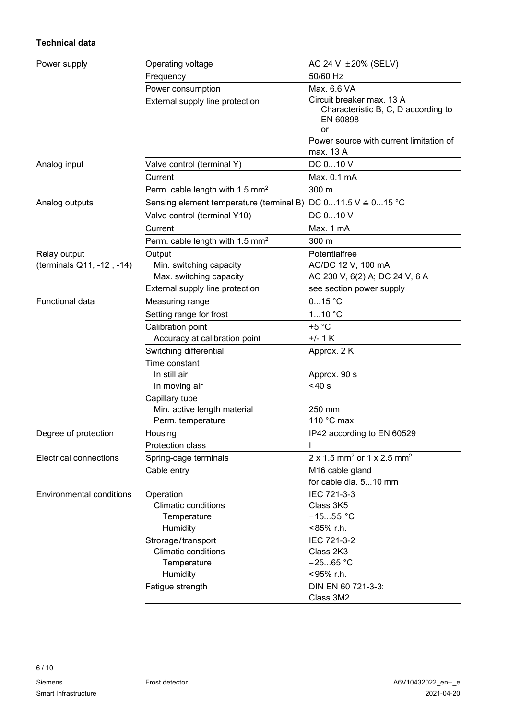# **Technical data**

| Power supply                    | Operating voltage                                | AC 24 V $\pm 20\%$ (SELV)                                                          |
|---------------------------------|--------------------------------------------------|------------------------------------------------------------------------------------|
|                                 | Frequency                                        | 50/60 Hz                                                                           |
|                                 | Power consumption                                | Max. 6.6 VA                                                                        |
|                                 | External supply line protection                  | Circuit breaker max. 13 A<br>Characteristic B, C, D according to<br>EN 60898<br>or |
|                                 |                                                  | Power source with current limitation of                                            |
|                                 |                                                  | max. 13 A                                                                          |
| Analog input                    | Valve control (terminal Y)                       | DC 010 V                                                                           |
|                                 | Current                                          | Max. 0.1 mA                                                                        |
|                                 | Perm. cable length with 1.5 $mm2$                | 300 m                                                                              |
| Analog outputs                  | Sensing element temperature (terminal B)         | DC $011.5$ V $\triangleq$ 015 °C                                                   |
|                                 | Valve control (terminal Y10)                     | DC 010 V                                                                           |
|                                 | Current                                          | Max. 1 mA                                                                          |
|                                 | Perm. cable length with 1.5 mm <sup>2</sup>      | 300 m                                                                              |
| Relay output                    | Output                                           | Potentialfree                                                                      |
| (terminals Q11, -12, -14)       | Min. switching capacity                          | AC/DC 12 V, 100 mA                                                                 |
|                                 | Max. switching capacity                          | AC 230 V, 6(2) A; DC 24 V, 6 A                                                     |
|                                 | External supply line protection                  | see section power supply                                                           |
| <b>Functional data</b>          | Measuring range                                  | $015$ °C                                                                           |
|                                 | Setting range for frost                          | 110 °C                                                                             |
|                                 | Calibration point                                | $+5 °C$                                                                            |
|                                 | Accuracy at calibration point                    | $+/- 1$ K                                                                          |
|                                 | Switching differential                           | Approx. 2 K                                                                        |
|                                 | Time constant                                    |                                                                                    |
|                                 | In still air                                     | Approx. 90 s                                                                       |
|                                 | In moving air                                    | $<$ 40 s                                                                           |
|                                 | Capillary tube                                   |                                                                                    |
|                                 | Min. active length material                      | 250 mm                                                                             |
|                                 | Perm. temperature                                | 110 °C max.                                                                        |
| Degree of protection            | Housing                                          | IP42 according to EN 60529                                                         |
|                                 | Protection class                                 |                                                                                    |
| <b>Electrical connections</b>   | Spring-cage terminals                            | 2 x 1.5 mm <sup>2</sup> or 1 x 2.5 mm <sup>2</sup>                                 |
|                                 | Cable entry                                      | M16 cable gland                                                                    |
|                                 |                                                  | for cable dia. 510 mm                                                              |
| <b>Environmental conditions</b> | Operation                                        | IEC 721-3-3                                                                        |
|                                 | <b>Climatic conditions</b>                       | Class 3K5                                                                          |
|                                 | Temperature<br>Humidity                          | $-1555 °C$<br><85% r.h.                                                            |
|                                 |                                                  | IEC 721-3-2                                                                        |
|                                 | Strorage/transport<br><b>Climatic conditions</b> | Class 2K3                                                                          |
|                                 | Temperature                                      | $-2565 °C$                                                                         |
|                                 | Humidity                                         | <95% r.h.                                                                          |
|                                 | Fatigue strength                                 | DIN EN 60 721-3-3:                                                                 |
|                                 |                                                  | Class 3M2                                                                          |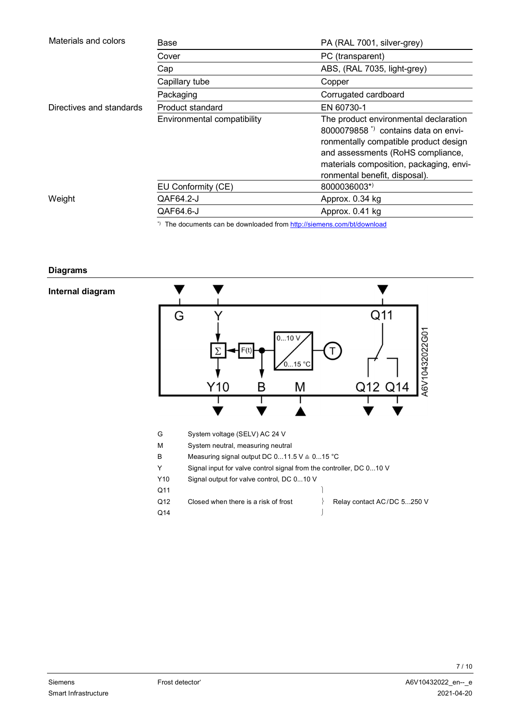| Materials and colors     | Base                        | PA (RAL 7001, silver-grey)                                                                                                                                                                                                                        |
|--------------------------|-----------------------------|---------------------------------------------------------------------------------------------------------------------------------------------------------------------------------------------------------------------------------------------------|
|                          | Cover                       | PC (transparent)                                                                                                                                                                                                                                  |
|                          | Cap                         | ABS, (RAL 7035, light-grey)                                                                                                                                                                                                                       |
|                          | Capillary tube              | Copper                                                                                                                                                                                                                                            |
|                          | Packaging                   | Corrugated cardboard                                                                                                                                                                                                                              |
| Directives and standards | Product standard            | EN 60730-1                                                                                                                                                                                                                                        |
|                          | Environmental compatibility | The product environmental declaration<br>8000079858 <sup>*</sup> contains data on envi-<br>ronmentally compatible product design<br>and assessments (RoHS compliance,<br>materials composition, packaging, envi-<br>ronmental benefit, disposal). |
|                          | EU Conformity (CE)          | 8000036003*)                                                                                                                                                                                                                                      |
| Weight                   | QAF64.2-J                   | Approx. 0.34 kg                                                                                                                                                                                                                                   |
|                          | QAF64.6-J                   | Approx. 0.41 kg                                                                                                                                                                                                                                   |

# \*) The documents can be downloaded from http://siemens.com/bt/download

#### **Diagrams**

#### **Internal diagram**

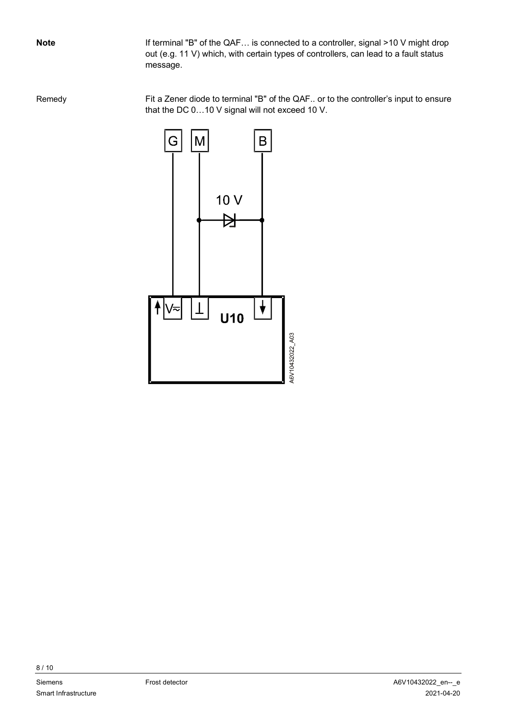If terminal "B" of the QAF… is connected to a controller, signal >10 V might drop out (e.g. 11 V) which, with certain types of controllers, can lead to a fault status message.

Fit a Zener diode to terminal "B" of the QAF.. or to the controller's input to ensure that the DC 0…10 V signal will not exceed 10 V. Remedy

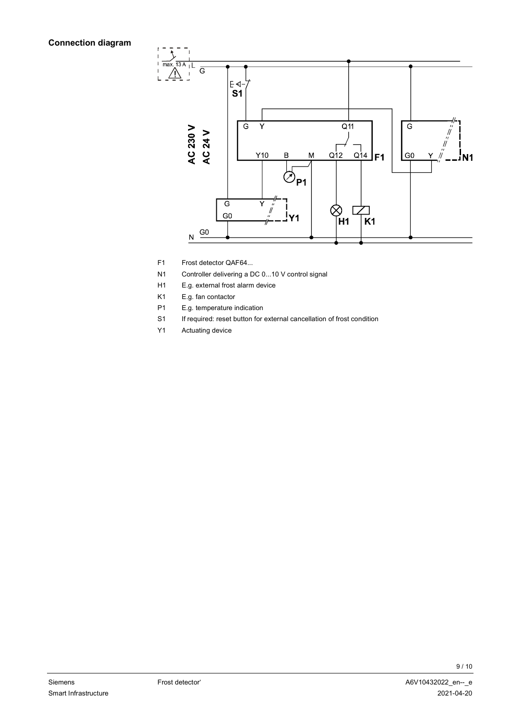# **Connection diagram**



- F1 Frost detector QAF64...
- N1 Controller delivering a DC 0...10 V control signal
- H1 E.g. external frost alarm device
- K1 E.g. fan contactor
- P1 E.g. temperature indication
- S1 If required: reset button for external cancellation of frost condition
- Y1 Actuating device